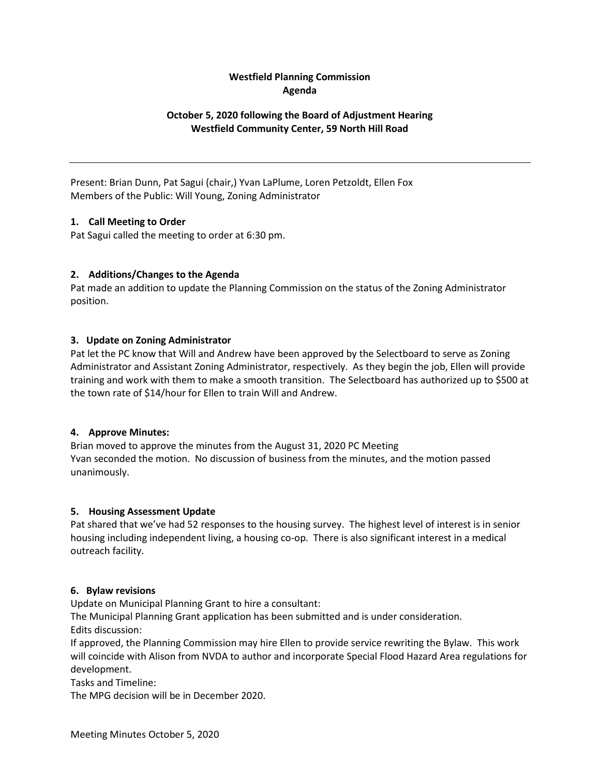# **Westfield Planning Commission Agenda**

# **October 5, 2020 following the Board of Adjustment Hearing Westfield Community Center, 59 North Hill Road**

Present: Brian Dunn, Pat Sagui (chair,) Yvan LaPlume, Loren Petzoldt, Ellen Fox Members of the Public: Will Young, Zoning Administrator

## **1. Call Meeting to Order**

Pat Sagui called the meeting to order at 6:30 pm.

## **2. Additions/Changes to the Agenda**

Pat made an addition to update the Planning Commission on the status of the Zoning Administrator position.

## **3. Update on Zoning Administrator**

Pat let the PC know that Will and Andrew have been approved by the Selectboard to serve as Zoning Administrator and Assistant Zoning Administrator, respectively. As they begin the job, Ellen will provide training and work with them to make a smooth transition. The Selectboard has authorized up to \$500 at the town rate of \$14/hour for Ellen to train Will and Andrew.

## **4. Approve Minutes:**

Brian moved to approve the minutes from the August 31, 2020 PC Meeting Yvan seconded the motion. No discussion of business from the minutes, and the motion passed unanimously.

## **5. Housing Assessment Update**

Pat shared that we've had 52 responses to the housing survey. The highest level of interest is in senior housing including independent living, a housing co-op. There is also significant interest in a medical outreach facility.

#### **6. Bylaw revisions**

Update on Municipal Planning Grant to hire a consultant:

The Municipal Planning Grant application has been submitted and is under consideration. Edits discussion:

If approved, the Planning Commission may hire Ellen to provide service rewriting the Bylaw. This work will coincide with Alison from NVDA to author and incorporate Special Flood Hazard Area regulations for development.

Tasks and Timeline:

The MPG decision will be in December 2020.